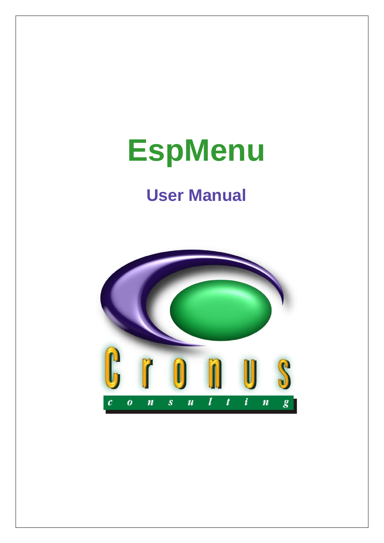# **EspMenu**

## **User Manual**

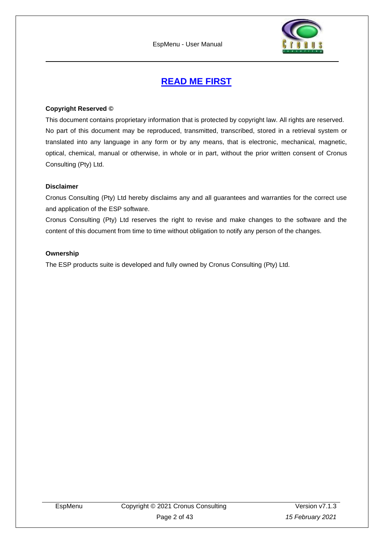

## **READ ME FIRST**

#### <span id="page-1-0"></span>**Copyright Reserved ©**

This document contains proprietary information that is protected by copyright law. All rights are reserved. No part of this document may be reproduced, transmitted, transcribed, stored in a retrieval system or translated into any language in any form or by any means, that is electronic, mechanical, magnetic, optical, chemical, manual or otherwise, in whole or in part, without the prior written consent of Cronus Consulting (Pty) Ltd.

#### **Disclaimer**

Cronus Consulting (Pty) Ltd hereby disclaims any and all guarantees and warranties for the correct use and application of the ESP software.

Cronus Consulting (Pty) Ltd reserves the right to revise and make changes to the software and the content of this document from time to time without obligation to notify any person of the changes.

#### **Ownership**

The ESP products suite is developed and fully owned by Cronus Consulting (Pty) Ltd.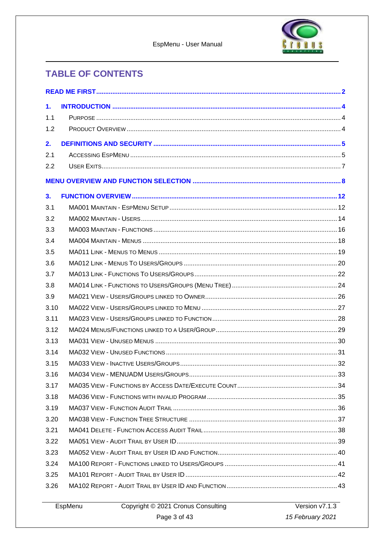



## **TABLE OF CONTENTS**

| 1.   |                                                           |  |
|------|-----------------------------------------------------------|--|
| 1.1  |                                                           |  |
| 1.2  |                                                           |  |
| 2.   |                                                           |  |
| 2.1  |                                                           |  |
| 2.2  |                                                           |  |
|      |                                                           |  |
| 3.   |                                                           |  |
| 3.1  |                                                           |  |
| 3.2  |                                                           |  |
| 3.3  |                                                           |  |
| 3.4  |                                                           |  |
| 3.5  |                                                           |  |
| 3.6  |                                                           |  |
| 3.7  |                                                           |  |
| 3.8  |                                                           |  |
| 3.9  |                                                           |  |
| 3.10 |                                                           |  |
| 3.11 |                                                           |  |
| 3.12 |                                                           |  |
| 3.13 |                                                           |  |
| 3.14 |                                                           |  |
| 3.15 |                                                           |  |
| 3.16 |                                                           |  |
| 3.17 |                                                           |  |
| 3.18 |                                                           |  |
| 3.19 |                                                           |  |
| 3.20 |                                                           |  |
| 3.21 |                                                           |  |
| 3.22 |                                                           |  |
| 3.23 |                                                           |  |
| 3.24 |                                                           |  |
| 3.25 |                                                           |  |
| 3.26 |                                                           |  |
|      | Convenient © 2024 Creatus Concultive Newsau Version 174.2 |  |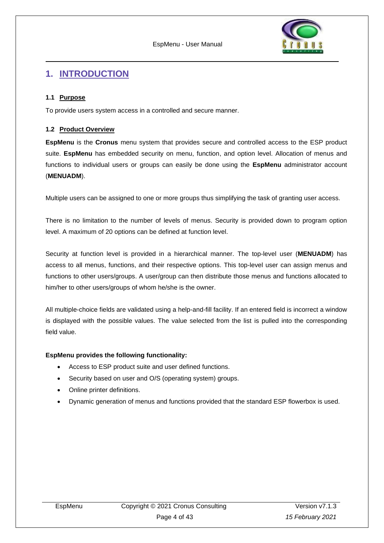

### <span id="page-3-0"></span>**1. INTRODUCTION**

#### <span id="page-3-1"></span>**1.1 Purpose**

To provide users system access in a controlled and secure manner.

#### <span id="page-3-2"></span>**1.2 Product Overview**

**EspMenu** is the **Cronus** menu system that provides secure and controlled access to the ESP product suite. **EspMenu** has embedded security on menu, function, and option level. Allocation of menus and functions to individual users or groups can easily be done using the **EspMenu** administrator account (**MENUADM**).

Multiple users can be assigned to one or more groups thus simplifying the task of granting user access.

There is no limitation to the number of levels of menus. Security is provided down to program option level. A maximum of 20 options can be defined at function level.

Security at function level is provided in a hierarchical manner. The top-level user (**MENUADM**) has access to all menus, functions, and their respective options. This top-level user can assign menus and functions to other users/groups. A user/group can then distribute those menus and functions allocated to him/her to other users/groups of whom he/she is the owner.

All multiple-choice fields are validated using a help-and-fill facility. If an entered field is incorrect a window is displayed with the possible values. The value selected from the list is pulled into the corresponding field value.

#### **EspMenu provides the following functionality:**

- Access to ESP product suite and user defined functions.
- Security based on user and O/S (operating system) groups.
- Online printer definitions.
- Dynamic generation of menus and functions provided that the standard ESP flowerbox is used.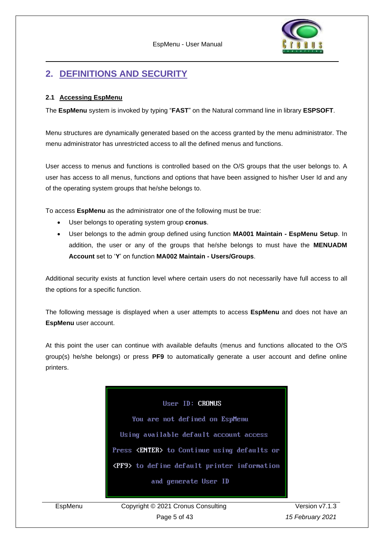

## <span id="page-4-0"></span>**2. DEFINITIONS AND SECURITY**

#### <span id="page-4-1"></span>**2.1 Accessing EspMenu**

The **EspMenu** system is invoked by typing "**FAST**" on the Natural command line in library **ESPSOFT**.

Menu structures are dynamically generated based on the access granted by the menu administrator. The menu administrator has unrestricted access to all the defined menus and functions.

User access to menus and functions is controlled based on the O/S groups that the user belongs to. A user has access to all menus, functions and options that have been assigned to his/her User Id and any of the operating system groups that he/she belongs to.

To access **EspMenu** as the administrator one of the following must be true:

- User belongs to operating system group **cronus**.
- User belongs to the admin group defined using function **MA001 Maintain - EspMenu Setup**. In addition, the user or any of the groups that he/she belongs to must have the **MENUADM Account** set to '**Y**' on function **MA002 Maintain - Users/Groups**.

Additional security exists at function level where certain users do not necessarily have full access to all the options for a specific function.

The following message is displayed when a user attempts to access **EspMenu** and does not have an **EspMenu** user account.

At this point the user can continue with available defaults (menus and functions allocated to the O/S group(s) he/she belongs) or press **PF9** to automatically generate a user account and define online printers.



EspMenu Copyright © 2021 Cronus Consulting Page 5 of 43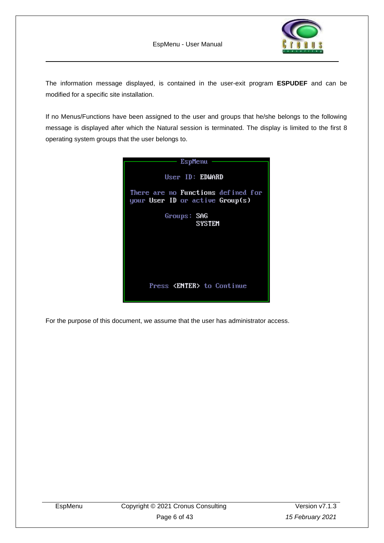

The information message displayed, is contained in the user-exit program **ESPUDEF** and can be modified for a specific site installation.

If no Menus/Functions have been assigned to the user and groups that he/she belongs to the following message is displayed after which the Natural session is terminated. The display is limited to the first 8 operating system groups that the user belongs to.



For the purpose of this document, we assume that the user has administrator access.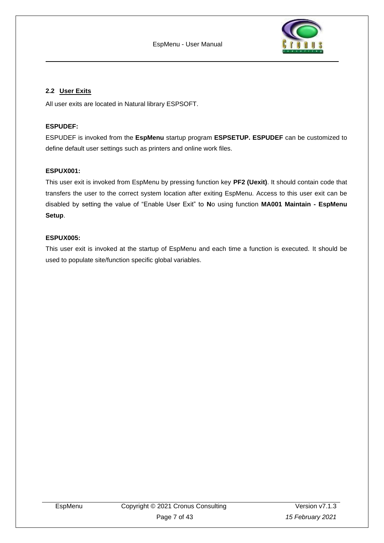

#### <span id="page-6-0"></span>**2.2 User Exits**

All user exits are located in Natural library ESPSOFT.

#### **ESPUDEF:**

ESPUDEF is invoked from the **EspMenu** startup program **ESPSETUP. ESPUDEF** can be customized to define default user settings such as printers and online work files.

#### **ESPUX001:**

This user exit is invoked from EspMenu by pressing function key **PF2 (Uexit)**. It should contain code that transfers the user to the correct system location after exiting EspMenu. Access to this user exit can be disabled by setting the value of "Enable User Exit" to **N**o using function **MA001 Maintain - EspMenu Setup**.

#### **ESPUX005:**

This user exit is invoked at the startup of EspMenu and each time a function is executed. It should be used to populate site/function specific global variables.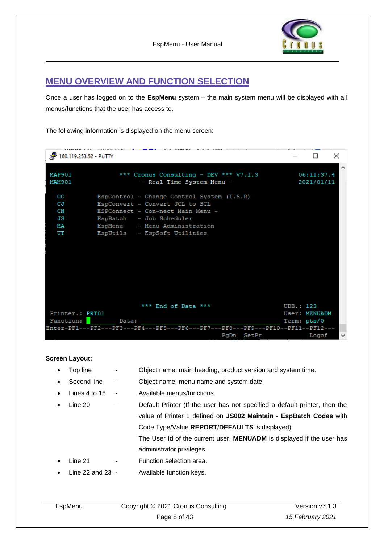

## <span id="page-7-0"></span>**MENU OVERVIEW AND FUNCTION SELECTION**

Once a user has logged on to the **EspMenu** system – the main system menu will be displayed with all menus/functions that the user has access to.

The following information is displayed on the menu screen:

|                                  | $\times$<br>П                                                                                                                                                                                                   |                                      |
|----------------------------------|-----------------------------------------------------------------------------------------------------------------------------------------------------------------------------------------------------------------|--------------------------------------|
| MAP901<br>MAM901                 | *** Cronus Consulting - DEV *** V7.1.3<br>- Real Time System Menu -                                                                                                                                             | $\wedge$<br>06:11:37.4<br>2021/01/11 |
| CC<br>CJ<br>CN<br>JS<br>МA<br>UT | EspControl - Change Control System (I.S.R)<br>EspConvert - Convert JCL to SCL<br>ESPConnect - Con-nect Main Menu -<br>EspBatch - Job Scheduler<br>EspMenu - Menu Administration<br>EspUtils - EspSoft Utilities |                                      |
| Printer.: PRT01                  | *** End of Data ***                                                                                                                                                                                             | UDB.: 123<br>User: MENUADM           |
|                                  | Function: Data:<br>Enter-PF1---PF2---PF3---PF4---PF5---PF6---PF7---PF8---PF9---PF10--PF11--PF12---                                                                                                              | Term: pts/0                          |
|                                  | PgDn SetPr                                                                                                                                                                                                      | Logof<br>$\mathbf{v}$                |

**Screen Layout:**

- Top line  $-$  Object name, main heading, product version and system time.
	- Second line Object name, menu name and system date.
- Lines 4 to 18 Available menus/functions.
- Line 20 Default Printer (If the user has not specified a default printer, then the value of Printer 1 defined on **JS002 Maintain - EspBatch Codes** with Code Type/Value **REPORT/DEFAULTS** is displayed).

The User Id of the current user. **MENUADM** is displayed if the user has administrator privileges.

- Line 21 Function selection area.
- Line 22 and 23 Available function keys.

| EspMenu | Copyright © 2021 Cronus Consulting | Version v7.1.3   |
|---------|------------------------------------|------------------|
|         | Page 8 of 43                       | 15 February 2021 |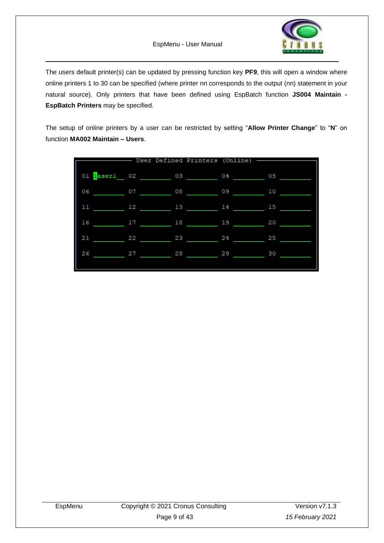

The users default printer(s) can be updated by pressing function key **PF9**, this will open a window where online printers 1 to 30 can be specified (where printer nn corresponds to the output (nn) statement in your natural source). Only printers that have been defined using EspBatch function **JS004 Maintain - EspBatch Printers** may be specified.

The setup of online printers by a user can be restricted by setting "**Allow Printer Change**" to "**N**" on function **MA002 Maintain – Users**.

|              |    | User Defined Printers (Online) - |    |    |
|--------------|----|----------------------------------|----|----|
| 01 laser1 02 |    | 03                               | 04 | 05 |
| 06           | 07 | 08                               | 09 | 10 |
| 11           | 12 | 13                               | 14 | 15 |
| 16           | 17 | 18                               | 19 | 20 |
| 21           | 22 | 23                               | 24 | 25 |
| 26           | 27 | 28                               | 29 | 30 |
|              |    |                                  |    |    |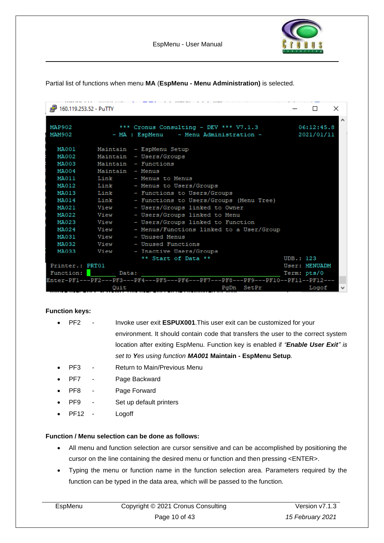Partial list of functions when menu **MA** (**EspMenu - Menu Administration)** is selected.

| <sup>2</sup> 160.119.253.52 - PuTTY |                      | the concerns then the company of the company of the company of the company of the company                      |           | $\Box$                       | × |
|-------------------------------------|----------------------|----------------------------------------------------------------------------------------------------------------|-----------|------------------------------|---|
| MAP902<br>MAM902                    |                      | *** Cronus Consulting - DEV *** V7.1.3<br>- MA : EspMenu - Menu Administration -                               |           | 06:12:45.8<br>2021/01/11     |   |
| MA001<br>MA002<br>MA003             |                      | Maintain - EspMenu Setup<br>Maintain - Users/Groups<br>Maintain - Functions                                    |           |                              |   |
| MA004<br><b>MA011</b><br>MA012      | Maintain - Menus     | Link - Menus to Menus<br>Link - Menus to Users/Groups                                                          |           |                              |   |
| MA013<br>MA014<br>MA021             | Link<br>Link<br>View | - Functions to Users/Groups<br>- Functions to Users/Groups (Menu Tree)<br>- Users/Groups linked to Owner       |           |                              |   |
| MA022<br>MA023<br>MA024             | View<br>View<br>View | - Users/Groups linked to Menu<br>- Users/Groups linked to Function<br>- Menus/Functions linked to a User/Group |           |                              |   |
| MA031<br>MA032<br>MA033             | View<br>View<br>View | - Unused Menus<br>- Unused Functions<br>- Inactive Users/Groups                                                |           |                              |   |
| Printer.: PRT01<br>Function:        | Data:                | ** Start of Data **                                                                                            | UDB.: 123 | User: MENUADM<br>Term: pts/0 |   |
|                                     | Quit                 | Enter-PF1---PF2---PF3---PF4---PF5---PF6---PF7---PF8---PF9---PF10--PF11--PF12---<br>PgDn SetPr                  |           | Logof                        |   |

#### **Function keys:**

- PF2 Invoke user exit **ESPUX001**.This user exit can be customized for your environment. It should contain code that transfers the user to the correct system location after exiting EspMenu. Function key is enabled if *"Enable User Exit" is set to Yes using function MA001* **Maintain - EspMenu Setup***.*
- PF3 Return to Main/Previous Menu
- PF7 Page Backward
- PF8 Page Forward
- PF9 Set up default printers
- PF12 Logoff

#### **Function / Menu selection can be done as follows:**

- All menu and function selection are cursor sensitive and can be accomplished by positioning the cursor on the line containing the desired menu or function and then pressing <ENTER>.
- Typing the menu or function name in the function selection area. Parameters required by the function can be typed in the data area, which will be passed to the function.

| EspMenu | Copyright © 2021 Cronus Consulting | Version v7.1.3   |
|---------|------------------------------------|------------------|
|         | Page 10 of 43                      | 15 February 2021 |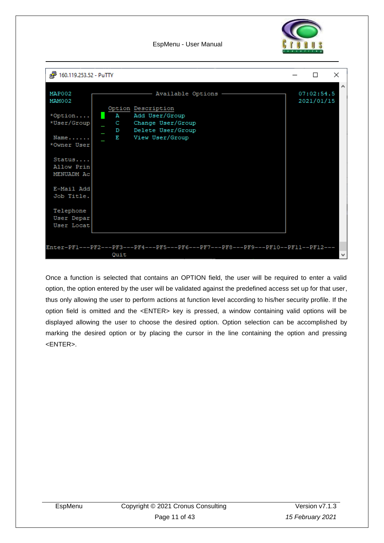

EspMenu - User Manual



Once a function is selected that contains an OPTION field, the user will be required to enter a valid option, the option entered by the user will be validated against the predefined access set up for that user, thus only allowing the user to perform actions at function level according to his/her security profile. If the option field is omitted and the <ENTER> key is pressed, a window containing valid options will be displayed allowing the user to choose the desired option. Option selection can be accomplished by marking the desired option or by placing the cursor in the line containing the option and pressing <ENTER>.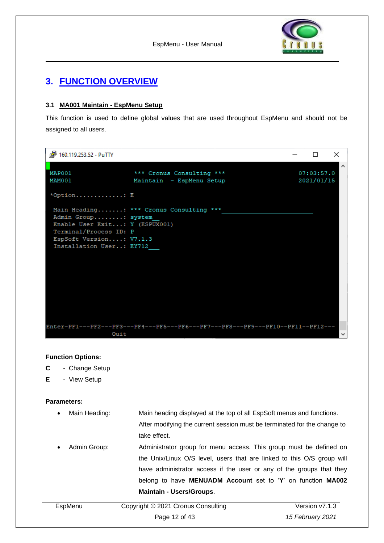

## <span id="page-11-0"></span>**3. FUNCTION OVERVIEW**

#### <span id="page-11-1"></span>**3.1 MA001 Maintain - EspMenu Setup**

This function is used to define global values that are used throughout EspMenu and should not be assigned to all users.

| 图 160.119.253.52 - PuTTY                                                                                                               |                                                                                 |  |                          | ×      |
|----------------------------------------------------------------------------------------------------------------------------------------|---------------------------------------------------------------------------------|--|--------------------------|--------|
| MAP001<br>MAM001                                                                                                                       | *** Cronus Consulting ***<br>Maintain - EspMenu Setup                           |  | 07:03:57.0<br>2021/01/15 | $\sim$ |
| *Option E                                                                                                                              |                                                                                 |  |                          |        |
| Admin Group: system<br>Enable User Exit: Y (ESPUX001)<br>Terminal/Process ID: P<br>EspSoft Version: V7.1.3<br>Installation User: EY712 | Main Heading: *** Cronus Consulting ***                                         |  |                          |        |
| Quit                                                                                                                                   | Enter-PF1---PF2---PF3---PF4---PF5---PF6---PF7---PF8---PF9---PF10--PF11--PF12--- |  |                          |        |

#### **Function Options:**

- **C** Change Setup
- **E** View Setup

#### **Parameters:**

• Main Heading: Main heading displayed at the top of all EspSoft menus and functions. After modifying the current session must be terminated for the change to

take effect.

Admin Group: Administrator group for menu access. This group must be defined on the Unix/Linux O/S level, users that are linked to this O/S group will have administrator access if the user or any of the groups that they belong to have **MENUADM Account** set to '**Y**' on function **MA002 Maintain - Users/Groups**.

| EspMenu | Copyright © 2021 Cronus Consulting | Version v7.1.3   |
|---------|------------------------------------|------------------|
|         | Page 12 of 43                      | 15 February 2021 |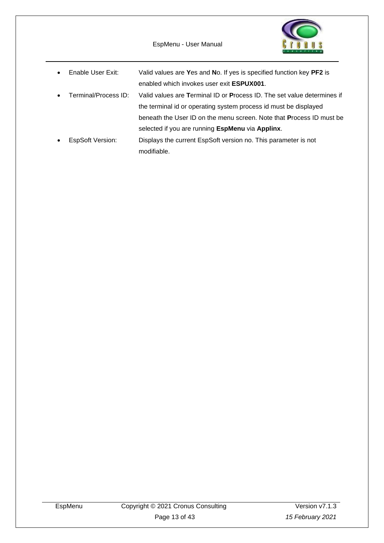EspMenu - User Manual



• Enable User Exit: Valid values are **Y**es and **N**o. If yes is specified function key **PF2** is enabled which invokes user exit **ESPUX001**. • Terminal/Process ID: Valid values are **T**erminal ID or **P**rocess ID. The set value determines if the terminal id or operating system process id must be displayed beneath the User ID on the menu screen. Note that **P**rocess ID must be selected if you are running **EspMenu** via **Applinx**. • EspSoft Version: Displays the current EspSoft version no. This parameter is not modifiable.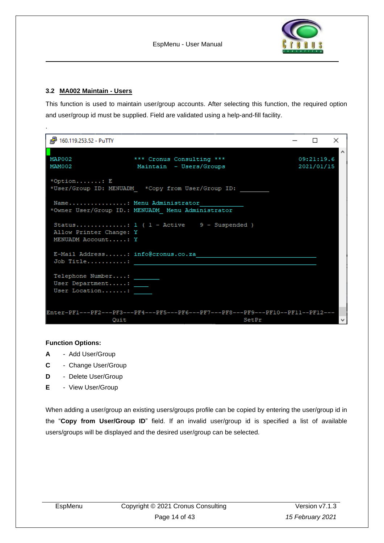

#### <span id="page-13-0"></span>**3.2 MA002 Maintain - Users**

.

This function is used to maintain user/group accounts. After selecting this function, the required option and user/group id must be supplied. Field are validated using a help-and-fill facility.

| <sup>2</sup> 160.119.253.52 - PuTTY                                  |                                                                                          | П                        | $\times$ |
|----------------------------------------------------------------------|------------------------------------------------------------------------------------------|--------------------------|----------|
| MAP002<br>MAM002                                                     | *** Cronus Consulting ***<br>Maintain - Users/Groups                                     | 09:21:19.6<br>2021/01/15 | $\wedge$ |
| *Option: E                                                           | *User/Group ID: MENUADM *Copy from User/Group ID:                                        |                          |          |
| Name: Menu Administrator                                             | *Owner User/Group ID.: MENUADM Menu Administrator                                        |                          |          |
| Allow Printer Change: Y<br>MENUADM Account: Y                        | Status: 1 ( $1 -$ Active 9 - Suspended )                                                 |                          |          |
| E-Mail Address: info@cronus.co.za<br>Job Title:                      |                                                                                          |                          |          |
| Telephone Number: _______<br>User Department: ____<br>User Location: |                                                                                          |                          |          |
| Ouit                                                                 | Enter-PF1---PF2---PF3---PF4---PF5---PF6---PF7---PF8---PF9---PF10--PF11--PF12---<br>SetPr |                          |          |

#### **Function Options:**

- **A** Add User/Group
- **C** Change User/Group
- **D** Delete User/Group
- **E** View User/Group

When adding a user/group an existing users/groups profile can be copied by entering the user/group id in the "**Copy from User/Group ID**" field. If an invalid user/group id is specified a list of available users/groups will be displayed and the desired user/group can be selected.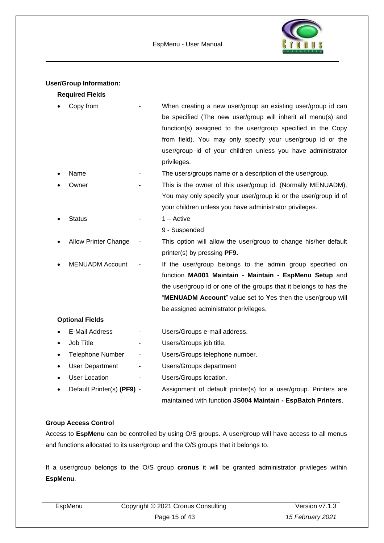

#### **User/Group Information:**

#### **Required Fields**

|           | Copy from                   | When creating a new user/group an existing user/group id can      |
|-----------|-----------------------------|-------------------------------------------------------------------|
|           |                             | be specified (The new user/group will inherit all menu(s) and     |
|           |                             | function(s) assigned to the user/group specified in the Copy      |
|           |                             | from field). You may only specify your user/group id or the       |
|           |                             | user/group id of your children unless you have administrator      |
|           |                             | privileges.                                                       |
|           | Name                        | The users/groups name or a description of the user/group.         |
|           | Owner                       | This is the owner of this user/group id. (Normally MENUADM).      |
|           |                             | You may only specify your user/group id or the user/group id of   |
|           |                             | your children unless you have administrator privileges.           |
|           | <b>Status</b>               | $1 -$ Active                                                      |
|           |                             | 9 - Suspended                                                     |
|           | <b>Allow Printer Change</b> | This option will allow the user/group to change his/her default   |
|           |                             | printer(s) by pressing PF9.                                       |
|           | <b>MENUADM Account</b>      | If the user/group belongs to the admin group specified on         |
|           |                             | function MA001 Maintain - Maintain - EspMenu Setup and            |
|           |                             | the user/group id or one of the groups that it belongs to has the |
|           |                             | "MENUADM Account" value set to Yes then the user/group will       |
|           |                             | be assigned administrator privileges.                             |
|           | <b>Optional Fields</b>      |                                                                   |
|           | E-Mail Address              | Users/Groups e-mail address.                                      |
| $\bullet$ | Job Title                   | Users/Groups job title.                                           |
| ٠         | <b>Telephone Number</b>     | Users/Groups telephone number.                                    |
|           | <b>User Department</b>      | Users/Groups department                                           |
|           | <b>User Location</b>        | Users/Groups location.                                            |
|           | Default Printer(s) (PF9) -  | Assignment of default printer(s) for a user/group. Printers are   |

## maintained with function **JS004 Maintain - EspBatch Printers**.

#### **Group Access Control**

Access to **EspMenu** can be controlled by using O/S groups. A user/group will have access to all menus and functions allocated to its user/group and the O/S groups that it belongs to.

If a user/group belongs to the O/S group **cronus** it will be granted administrator privileges within **EspMenu**.

| EspMenu | Copyright © 2021 Cronus Consulting | Version v7.1.3   |
|---------|------------------------------------|------------------|
|         | Page 15 of 43                      | 15 February 2021 |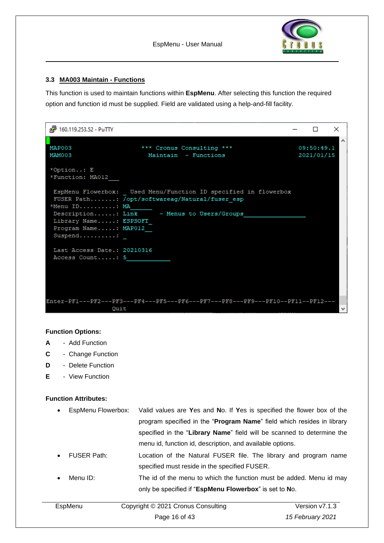

#### <span id="page-15-0"></span>**3.3 MA003 Maintain - Functions**

This function is used to maintain functions within **EspMenu**. After selecting this function the required option and function id must be supplied. Field are validated using a help-and-fill facility.

| <sup>2</sup> 160.119.253.52 - PuTTY                                       |                                                                                                                                                               | П                        | × |
|---------------------------------------------------------------------------|---------------------------------------------------------------------------------------------------------------------------------------------------------------|--------------------------|---|
| MAP003<br>MAM003                                                          | *** Cronus Consulting ***<br>Maintain - Functions                                                                                                             | 09:50:49.1<br>2021/01/15 |   |
| *Option: E<br>*Function: MA012                                            |                                                                                                                                                               |                          |   |
| *Menu ID: MA<br>Library Name: ESPSOFT<br>Program Name: MAP012<br>Suspend: | EspMenu Flowerbox: Used Menu/Function ID specified in flowerbox<br>FUSER Path: /opt/softwareag/Natural/fuser esp<br>Description: Link - Menus to Users/Groups |                          |   |
| Last Access Date.: 20210316<br>Access Count: 5                            |                                                                                                                                                               |                          |   |
| Quit                                                                      | Enter-PF1---PF2---PF3---PF4---PF5---PF6---PF7---PF8---PF9---PF10--PF11--PF12---                                                                               |                          |   |

#### **Function Options:**

- **A** Add Function
- **C** Change Function
- **D** Delete Function
- **E** View Function

#### **Function Attributes:**

- EspMenu Flowerbox: Valid values are **Y**es and **N**o. If **Y**es is specified the flower box of the program specified in the "**Program Name**" field which resides in library specified in the "**Library Name**" field will be scanned to determine the menu id, function id, description, and available options.
- FUSER Path: Location of the Natural FUSER file. The library and program name specified must reside in the specified FUSER.
- Menu ID: The id of the menu to which the function must be added. Menu id may only be specified if "**EspMenu Flowerbox**" is set to **N**o.

| EspMenu | Copyright © 2021 Cronus Consulting |                  |
|---------|------------------------------------|------------------|
|         | Page 16 of 43                      | 15 February 2021 |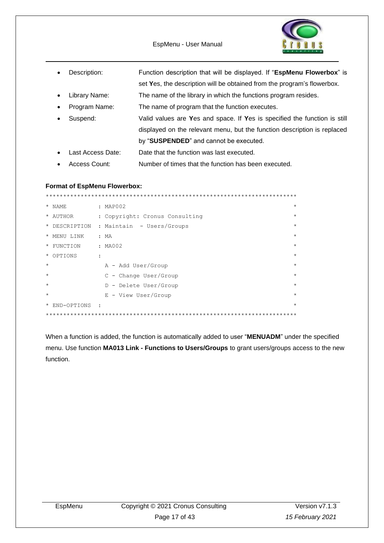EspMenu - User Manual



• Description: Function description that will be displayed. If "**EspMenu Flowerbox**" is set **Y**es, the description will be obtained from the program's flowerbox.

• Library Name: The name of the library in which the functions program resides.

- Program Name: The name of program that the function executes.
- Suspend: Valid values are **Y**es and space. If **Y**es is specified the function is still displayed on the relevant menu, but the function description is replaced by "**SUSPENDED**" and cannot be executed.
- Last Access Date: Date that the function was last executed.
- Access Count: Number of times that the function has been executed.

#### **Format of EspMenu Flowerbox:**

|         | * NAME        |           | : MAP002                       | $\star$ |
|---------|---------------|-----------|--------------------------------|---------|
|         | * AUTHOR      |           | : Copyright: Cronus Consulting | $\star$ |
|         | * DESCRIPTION |           | : Maintain - Users/Groups      | $\star$ |
|         | * MENU LINK   |           | : MA                           | $\star$ |
|         | * FUNCTION    |           | : MAOO2                        | $\star$ |
|         | * OPTIONS     |           |                                | $\star$ |
| $\star$ |               |           | A - Add User/Group             | $\star$ |
| $\star$ |               |           | $C$ - Change User/Group        | $\star$ |
| $\star$ |               |           | D - Delete User/Group          | $\star$ |
| $\star$ |               |           | E - View User/Group            | $\star$ |
|         | * END-OPTIONS | $\cdot$ : |                                | $\star$ |
|         |               |           |                                |         |

When a function is added, the function is automatically added to user "**MENUADM**" under the specified menu. Use function **MA013 Link - Functions to Users/Groups** to grant users/groups access to the new function.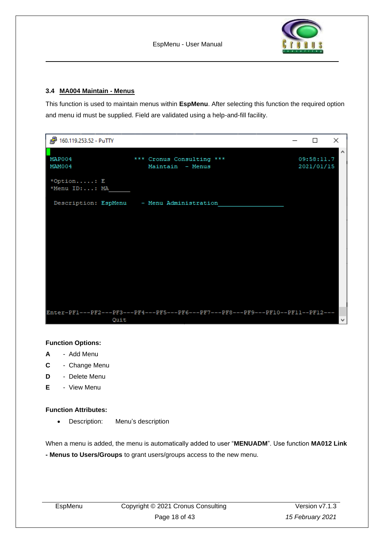

#### <span id="page-17-0"></span>**3.4 MA004 Maintain - Menus**

This function is used to maintain menus within **EspMenu**. After selecting this function the required option and menu id must be supplied. Field are validated using a help-and-fill facility.

| 图 160.119.253.52 - PuTTY    |                                                                                 | □                        | ×                   |
|-----------------------------|---------------------------------------------------------------------------------|--------------------------|---------------------|
| MAP004<br>MAM004            | *** Cronus Consulting ***<br>Maintain - Menus                                   | 09:58:11.7<br>2021/01/15 | $\hat{\phantom{a}}$ |
| *Option: E<br>*Menu ID:: MA |                                                                                 |                          |                     |
|                             | Description: EspMenu - Menu Administration                                      |                          |                     |
|                             |                                                                                 |                          |                     |
|                             |                                                                                 |                          |                     |
|                             |                                                                                 |                          |                     |
|                             |                                                                                 |                          |                     |
|                             |                                                                                 |                          |                     |
|                             |                                                                                 |                          |                     |
|                             |                                                                                 |                          |                     |
|                             |                                                                                 |                          |                     |
| Quit                        | Enter-PF1---PF2---PF3---PF4---PF5---PF6---PF7---PF8---PF9---PF10--PF11--PF12--- |                          | $\checkmark$        |

#### **Function Options:**

- **A** Add Menu
- **C** Change Menu
- **D** Delete Menu
- **E** View Menu

#### **Function Attributes:**

• Description: Menu's description

When a menu is added, the menu is automatically added to user "**MENUADM**". Use function **MA012 Link** 

**- Menus to Users/Groups** to grant users/groups access to the new menu.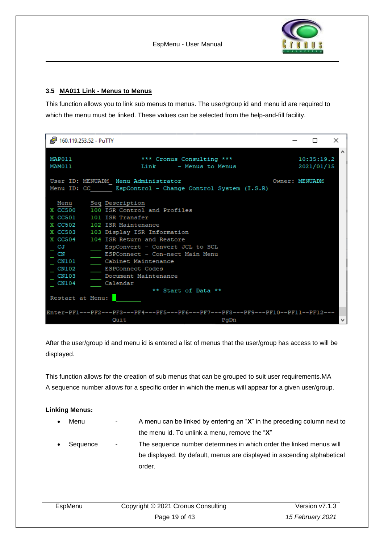

#### <span id="page-18-0"></span>**3.5 MA011 Link - Menus to Menus**

This function allows you to link sub menus to menus. The user/group id and menu id are required to which the menu must be linked. These values can be selected from the help-and-fill facility.

| d <sup>29</sup> 160.119.253.52 - PuTTY                                                                                                                                                                                                                                                                                                                                                                                                                           | П                        | ×        |
|------------------------------------------------------------------------------------------------------------------------------------------------------------------------------------------------------------------------------------------------------------------------------------------------------------------------------------------------------------------------------------------------------------------------------------------------------------------|--------------------------|----------|
| MAP011<br>*** Cronus Consulting ***<br>MAM011<br>Link - Menus to Menus                                                                                                                                                                                                                                                                                                                                                                                           | 10:35:19.2<br>2021/01/15 | $\wedge$ |
| User ID: MENUADM Menu Administrator<br>Menu ID: CC EspControl - Change Control System (I.S.R)                                                                                                                                                                                                                                                                                                                                                                    | Owner: MENUADM           |          |
| Menu<br>Seq Description<br>X CC500 100 ISR Control and Profiles<br>X CC501 101 ISR Transfer<br>X CC502 102 ISR Maintenance<br>X CC503 103 Display ISR Information<br>X CC504 104 ISR Return and Restore<br>EspConvert - Convert JCL to SCL<br>CJ<br>$_{\rm CN}$<br>ESPConnect - Con-nect Main Menu<br>CN101<br>Cabinet Maintenance<br>CN102<br>ESPConnect Codes<br>CN103<br>Document Maintenance<br>CN104<br>Calendar<br>** Start of Data **<br>Restart at Menu: |                          |          |
| Enter-PF1---PF2---PF3---PF4---PF5---PF6---PF7---PF8---PF9---PF10--PF11--PF12---<br>Ouit<br>PgDn                                                                                                                                                                                                                                                                                                                                                                  |                          |          |

After the user/group id and menu id is entered a list of menus that the user/group has access to will be displayed.

This function allows for the creation of sub menus that can be grouped to suit user requirements.MA A sequence number allows for a specific order in which the menus will appear for a given user/group.

#### **Linking Menus:**

- Menu A menu can be linked by entering an "X" in the preceding column next to the menu id. To unlink a menu, remove the "**X**"
- Sequence The sequence number determines in which order the linked menus will be displayed. By default, menus are displayed in ascending alphabetical order.

| EspMenu | Copyright © 2021 Cronus Consulting |                  |
|---------|------------------------------------|------------------|
|         | Page 19 of 43                      | 15 February 2021 |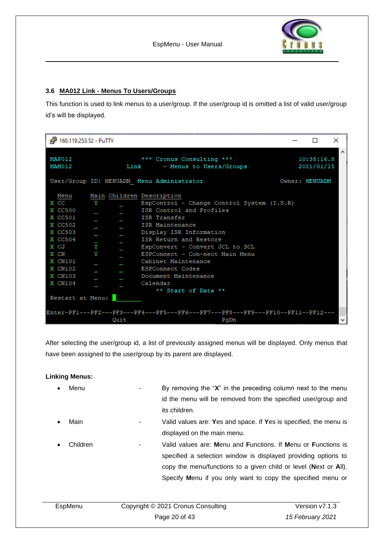

#### <span id="page-19-0"></span>**3.6 MA012 Link - Menus To Users/Groups**

This function is used to link menus to a user/group. If the user/group id is omitted a list of valid user/group id's will be displayed.

| <sup>2</sup> 160.119.253.52 - PuTTY                                                                                                                                                                                                                                                                                                                                                                                                                                                                                                                  |                | П                        | ×            |
|------------------------------------------------------------------------------------------------------------------------------------------------------------------------------------------------------------------------------------------------------------------------------------------------------------------------------------------------------------------------------------------------------------------------------------------------------------------------------------------------------------------------------------------------------|----------------|--------------------------|--------------|
| MAP012<br>*** Cronus Consulting ***<br>MAM012<br>Link - Menus to Users/Groups                                                                                                                                                                                                                                                                                                                                                                                                                                                                        |                | 10:38:16.8<br>2021/01/15 | $\wedge$     |
| User/Group ID: MENUADM Menu Administrator                                                                                                                                                                                                                                                                                                                                                                                                                                                                                                            | Owner: MENUADM |                          |              |
| Main Children Description<br>Menu<br>X CC<br>EspControl - Change Control System (I.S.R)<br>Y<br>X CC500<br>ISR Control and Profiles<br>X CC501<br>ISR Transfer<br>X CC502<br>ISR Maintenance<br>X CC503<br>Display ISR Information<br>ISR Return and Restore<br>X CC504<br>Y<br>x cJ<br>EspConvert - Convert JCL to SCL<br>Y<br>X CN<br>ESPConnect - Con-nect Main Menu<br>X CN101<br>Cabinet Maintenance<br>X CN102<br><b>ESPConnect Codes</b><br>X CN103<br>Document Maintenance<br>X CN104<br>Calendar<br>** Start of Data **<br>Restart at Menu: |                |                          |              |
| Enter-PF1---PF2---PF3---PF4---PF5---PF6---PF7---PF8---PF9---PF10--PF11--PF12---<br>Quit<br>PqDn                                                                                                                                                                                                                                                                                                                                                                                                                                                      |                |                          | $\mathbf{v}$ |

After selecting the user/group id, a list of previously assigned menus will be displayed. Only menus that have been assigned to the user/group by its parent are displayed.

#### **Linking Menus:**

| $\bullet$ | Menu     |   | By removing the " $X$ " in the preceding column next to the menu  |
|-----------|----------|---|-------------------------------------------------------------------|
|           |          |   | id the menu will be removed from the specified user/group and     |
|           |          |   | its children.                                                     |
| $\bullet$ | Main     | ۰ | Valid values are: Yes and space. If Yes is specified, the menu is |
|           |          |   | displayed on the main menu.                                       |
| $\bullet$ | Children |   | Valid values are: Menu and Functions. If Menu or Functions is     |
|           |          |   | specified a selection window is displayed providing options to    |
|           |          |   | copy the menu/functions to a given child or level (Next or All).  |
|           |          |   | Specify Menu if you only want to copy the specified menu or       |
|           |          |   |                                                                   |

| EspMenu | Copyright © 2021 Cronus Consulting | Version v7.1.3   |  |  |
|---------|------------------------------------|------------------|--|--|
|         | Page 20 of 43                      | 15 February 2021 |  |  |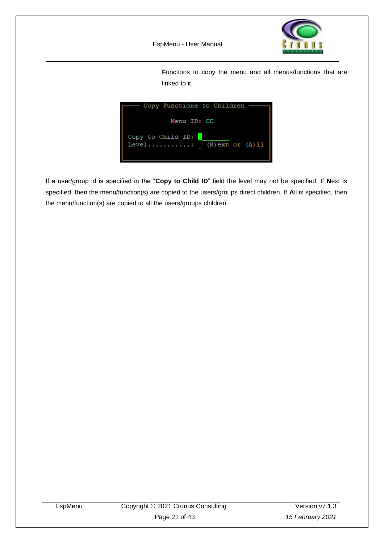

Functions to copy the menu and all menus/functions that are linked to it.

| — Copy Functions to Children -                    |
|---------------------------------------------------|
| Menu ID: CC                                       |
| Copy to Child ID:<br>Level: $(N)$ ext or $(A)$ 11 |

If a user/group id is specified in the "**Copy to Child ID**" field the level may not be specified. If **N**ext is specified, then the menu/function(s) are copied to the users/groups direct children. If **A**ll is specified, then the menu/function(s) are copied to all the users/groups children.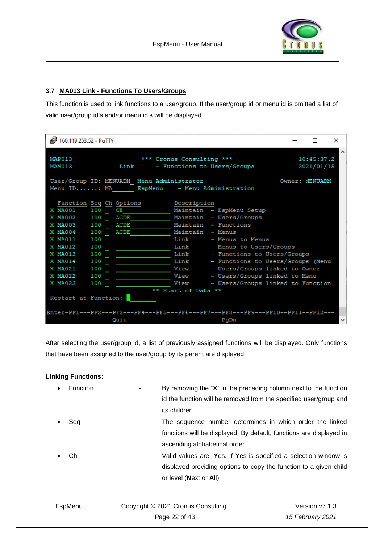#### <span id="page-21-0"></span>**3.7 MA013 Link - Functions To Users/Groups**

This function is used to link functions to a user/group. If the user/group id or menu id is omitted a list of valid user/group id's and/or menu id's will be displayed.

| 160.119.253.52 - PuTTY                                                                                                                                                                                                                                                     |                                                               |                                                                                                                                                                                                                                                                                                                                           | П                        | × |
|----------------------------------------------------------------------------------------------------------------------------------------------------------------------------------------------------------------------------------------------------------------------------|---------------------------------------------------------------|-------------------------------------------------------------------------------------------------------------------------------------------------------------------------------------------------------------------------------------------------------------------------------------------------------------------------------------------|--------------------------|---|
| MAP013<br>MAM013                                                                                                                                                                                                                                                           | *** Cronus Consulting ***<br>Link - Functions to Users/Groups |                                                                                                                                                                                                                                                                                                                                           | 10:45:37.2<br>2021/01/15 | ́ |
| User/Group ID: MENUADM Menu Administrator<br>Menu ID: MA   EspMenu - Menu Administration                                                                                                                                                                                   |                                                               |                                                                                                                                                                                                                                                                                                                                           | Owner: MENUADM           |   |
| Function Seq Ch Options<br>X MA001<br>100 CE<br>X MA002 100<br>ACDE<br>ACDE<br>X MA003 100<br>X MA004<br>100<br>ACDE<br>100<br>X MA011<br>X MA012<br>100<br>X MA013<br>100<br>X MA014<br>100<br>X MA021<br>100<br>X MA022<br>100<br>X MA023<br>100<br>Restart at Function: | Description<br>Maintain - Menus<br>** Start of Data **        | Maintain - EspMenu Setup<br>Maintain - Users/Groups<br>Maintain - Functions<br>Link - Menus to Menus<br>Link - Menus to Users/Groups<br>Link - Functions to Users/Groups<br>Link - Functions to Users/Groups (Menu<br>View - Users/Groups linked to Owner<br>View - Users/Groups linked to Menu<br>View - Users/Groups linked to Function |                          |   |
| Enter-PF1---PF2---PF3---PF4---PF5---PF6---PF7---PF8---PF9---PF10--PF11--PF12---<br>Ouit                                                                                                                                                                                    |                                                               | PgDn                                                                                                                                                                                                                                                                                                                                      |                          |   |

After selecting the user/group id, a list of previously assigned functions will be displayed. Only functions that have been assigned to the user/group by its parent are displayed.

#### **Linking Functions:**

| <b>Function</b>                 | By removing the " $X$ " in the preceding column next to the function |
|---------------------------------|----------------------------------------------------------------------|
|                                 | id the function will be removed from the specified user/group and    |
|                                 | its children.                                                        |
| Seg<br>$\overline{\phantom{a}}$ | The sequence number determines in which order the linked             |
|                                 | functions will be displayed. By default, functions are displayed in  |
|                                 | ascending alphabetical order.                                        |
| Ch<br>٠                         | Valid values are: Yes. If Yes is specified a selection window is     |
|                                 | displayed providing options to copy the function to a given child    |
|                                 | or level (Next or All).                                              |
|                                 |                                                                      |

| EspMenu | Copyright © 2021 Cronus Consulting | Version v7.1.3   |
|---------|------------------------------------|------------------|
|         | Page 22 of 43                      | 15 February 2021 |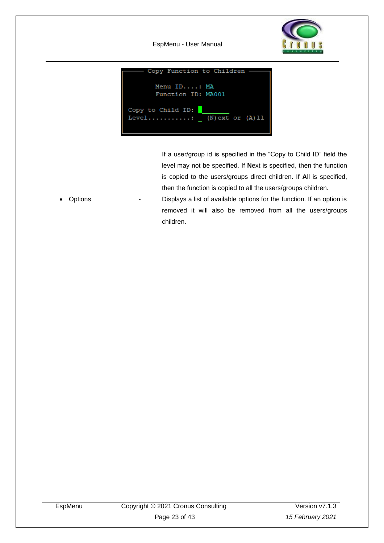

EspMenu - User Manual



If a user/group id is specified in the "Copy to Child ID" field the level may not be specified. If **N**ext is specified, then the function is copied to the users/groups direct children. If **A**ll is specified, then the function is copied to all the users/groups children.

• Options - Displays a list of available options for the function. If an option is removed it will also be removed from all the users/groups children.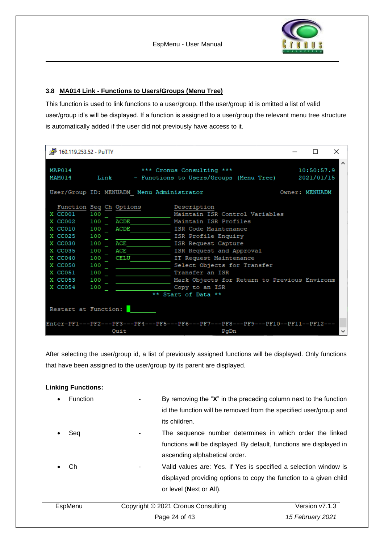

#### <span id="page-23-0"></span>**3.8 MA014 Link - Functions to Users/Groups (Menu Tree)**

This function is used to link functions to a user/group. If the user/group id is omitted a list of valid user/group id's will be displayed. If a function is assigned to a user/group the relevant menu tree structure is automatically added if the user did not previously have access to it.

| 图 160.119.253.52 - PuTTY                                                                                                                                            |                   |                                                 |                                                                                                                                                                                                                                                                                                                                | п              | × |
|---------------------------------------------------------------------------------------------------------------------------------------------------------------------|-------------------|-------------------------------------------------|--------------------------------------------------------------------------------------------------------------------------------------------------------------------------------------------------------------------------------------------------------------------------------------------------------------------------------|----------------|---|
| MAP014<br>MAM014                                                                                                                                                    |                   |                                                 | *** Cronus Consulting ***<br>Link - Functions to Users/Groups (Menu Tree) 2021/01/15                                                                                                                                                                                                                                           | 10:50:57.9     |   |
|                                                                                                                                                                     |                   | User/Group ID: MENUADM Menu Administrator       |                                                                                                                                                                                                                                                                                                                                | Owner: MENUADM |   |
| X CC001 100<br>X CC002 100 ACDE<br>X CC010 100 ACDE<br>X CC025 100<br>X CC030 100 ACE<br>X CC035 100 ACE<br>X CC040<br>X CC050 100<br>X CC051<br>X CC053<br>X CC054 | 100<br>100<br>100 | Function Seq Ch Options Description<br>100 CELU | Maintain ISR Control Variables<br>Maintain ISR Profiles<br>ISR Code Maintenance<br>ISR Profile Enquiry<br>ISR Request Capture<br>ISR Request and Approval<br>IT Request Maintenance<br>Select Objects for Transfer<br>Transfer an ISR<br>Mark Objects for Return to Previous Environm<br>Copy to an ISR<br>** Start of Data ** |                |   |
| Restart at Function:                                                                                                                                                |                   |                                                 |                                                                                                                                                                                                                                                                                                                                |                |   |
|                                                                                                                                                                     |                   | Ouit                                            | Enter-PF1---PF2---PF3---PF4---PF5---PF6---PF7---PF8---PF9---PF10--PF11--PF12---<br>PqDn                                                                                                                                                                                                                                        |                |   |

After selecting the user/group id, a list of previously assigned functions will be displayed. Only functions that have been assigned to the user/group by its parent are displayed.

#### **Linking Functions:**

| Function | its children.                                       | By removing the " $X$ " in the preceding column next to the function<br>id the function will be removed from the specified user/group and |
|----------|-----------------------------------------------------|-------------------------------------------------------------------------------------------------------------------------------------------|
| Sea      | ascending alphabetical order.                       | The sequence number determines in which order the linked<br>functions will be displayed. By default, functions are displayed in           |
| Сh       | $\overline{\phantom{0}}$<br>or level (Next or All). | Valid values are: Yes. If Yes is specified a selection window is<br>displayed providing options to copy the function to a given child     |
| EspMenu  | Copyright © 2021 Cronus Consulting                  | Version v7.1.3                                                                                                                            |
|          | Page 24 of 43                                       | 15 February 2021                                                                                                                          |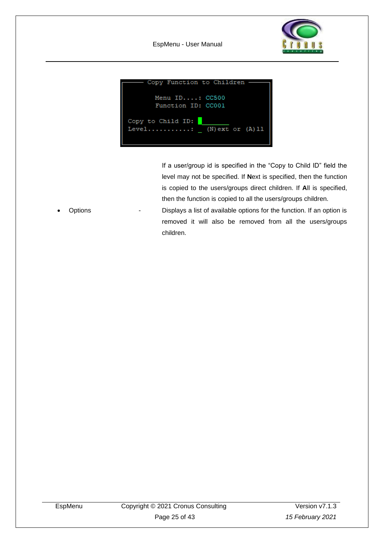



If a user/group id is specified in the "Copy to Child ID" field the level may not be specified. If **N**ext is specified, then the function is copied to the users/groups direct children. If **A**ll is specified, then the function is copied to all the users/groups children.

• Options - Displays a list of available options for the function. If an option is removed it will also be removed from all the users/groups children.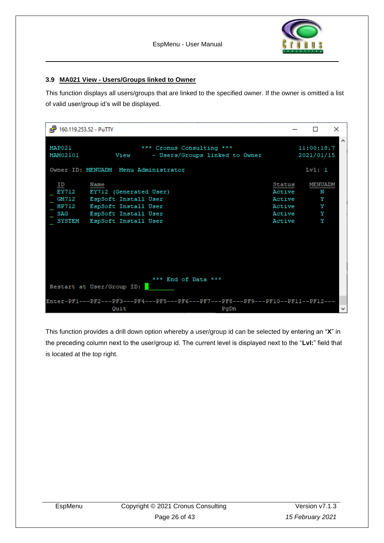

#### <span id="page-25-0"></span>**3.9 MA021 View - Users/Groups linked to Owner**

This function displays all users/groups that are linked to the specified owner. If the owner is omitted a list of valid user/group id's will be displayed.

| 图 160.119.253.52 - PuTTY    |                                                                                                                                             |                                                          |                                  | $\times$ |
|-----------------------------|---------------------------------------------------------------------------------------------------------------------------------------------|----------------------------------------------------------|----------------------------------|----------|
| MAP021<br>MAM02101          | *** Cronus Consulting ***<br>- Users/Groups linked to Owner<br>View                                                                         |                                                          | 11:00:18.7<br>2021/01/15         | $\wedge$ |
|                             | Owner ID: MENUADM Menu Administrator                                                                                                        |                                                          | Lv1:1                            |          |
| ID<br>EY712<br>GM712<br>SAG | Name<br>EY712 (Generated User)<br>EspSoft Install User<br>HP712 EspSoft Install User<br>EspSoft Install User<br>SYSTEM EspSoft Install User | Status<br>Active<br>Active<br>Active<br>Active<br>Active | MENUADM<br>N<br>Y<br>Y<br>Y<br>Y |          |
|                             | *** End of Data ***<br>Restart at User/Group ID:                                                                                            |                                                          |                                  |          |
|                             | Enter-PF1---PF2---PF3---PF4---PF5---PF6---PF7---PF8---PF9---PF10--PF11--PF12---<br>Quit<br>PgDn                                             |                                                          |                                  | ٧        |

This function provides a drill down option whereby a user/group id can be selected by entering an "**X**" in the preceding column next to the user/group id. The current level is displayed next to the "**Lvl:**" field that is located at the top right.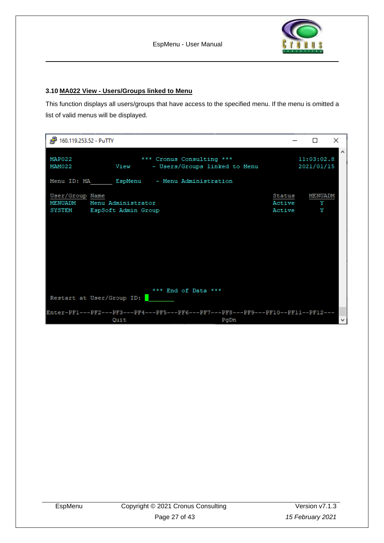#### <span id="page-26-0"></span>**3.10 MA022 View - Users/Groups linked to Menu**

This function displays all users/groups that have access to the specified menu. If the menu is omitted a list of valid menus will be displayed.

| 图 160.119.253.52 - PuTTY                                 |                    |                                                                                         |                            | П                        | ×                   |
|----------------------------------------------------------|--------------------|-----------------------------------------------------------------------------------------|----------------------------|--------------------------|---------------------|
| MAP022<br>MAM022                                         | View               | *** Cronus Consulting ***<br>- Users/Groups linked to Menu                              |                            | 11:03:02.8<br>2021/01/15 | $\hat{\phantom{1}}$ |
|                                                          |                    | Menu ID: MA BspMenu - Menu Administration                                               |                            |                          |                     |
| User/Group Name<br>MENUADM<br>SYSTEM EspSoft Admin Group | Menu Administrator |                                                                                         | Status<br>Active<br>Active | MENUADM<br>Y<br>Y        |                     |
| *** End of Data ***<br>Restart at User/Group ID:         |                    |                                                                                         |                            |                          |                     |
|                                                          | Quit               | Enter-PF1---PF2---PF3---PF4---PF5---PF6---PF7---PF8---PF9---PF10--PF11--PF12---<br>PgDn |                            |                          | $\mathbf{v}$        |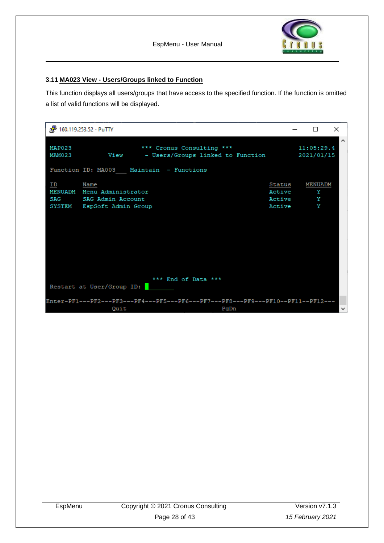

#### <span id="page-27-0"></span>**3.11 MA023 View - Users/Groups linked to Function**

This function displays all users/groups that have access to the specified function. If the function is omitted a list of valid functions will be displayed.

|                  | 图 160.119.253.52 - PuTTY                                                                                                                  |                                      |                               | $\times$ |
|------------------|-------------------------------------------------------------------------------------------------------------------------------------------|--------------------------------------|-------------------------------|----------|
| MAP023<br>MAM023 | *** Cronus Consulting ***<br>View - Users/Groups linked to Function                                                                       |                                      | 11:05:29.4<br>2021/01/15      | $\wedge$ |
|                  | Function ID: MA003 Maintain - Functions                                                                                                   |                                      |                               |          |
| ΙD<br>SAG        | Name<br>MENUADM Menu Administrator<br>SAG Admin Account<br>SYSTEM EspSoft Admin Group<br>*** End of Data ***<br>Restart at User/Group ID: | Status<br>Active<br>Active<br>Active | <b>MENUADM</b><br>Y<br>Y<br>Y |          |
|                  | Enter-PF1---PF2---PF3---PF4---PF5---PF6---PF7---PF8---PF9---PF10--PF11--PF12---                                                           |                                      |                               |          |
|                  | Quit<br>PgDn                                                                                                                              |                                      |                               | ٧        |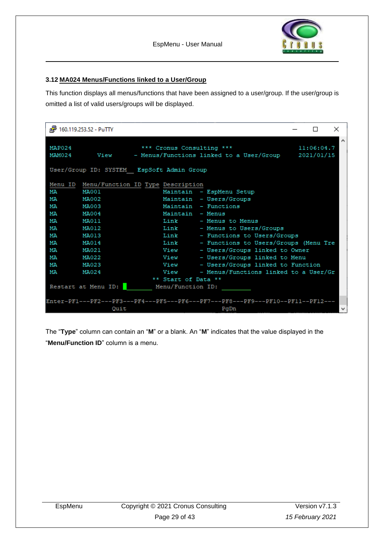

#### <span id="page-28-0"></span>**3.12 MA024 Menus/Functions linked to a User/Group**

This function displays all menus/functions that have been assigned to a user/group. If the user/group is omitted a list of valid users/groups will be displayed.

|                  | d <sup>29</sup> 160.119.253.52 - PuTTY    |                                           |                                                                                 |  | ×<br>П          |  |  |  |
|------------------|-------------------------------------------|-------------------------------------------|---------------------------------------------------------------------------------|--|-----------------|--|--|--|
| MAP024<br>MAM024 |                                           | *** Cronus Consulting ***                 | View - Menus/Functions linked to a User/Group 2021/01/15                        |  | ́<br>11:06:04.7 |  |  |  |
|                  | User/Group ID: SYSTEM EspSoft Admin Group |                                           |                                                                                 |  |                 |  |  |  |
|                  |                                           | Menu ID Menu/Function ID Type Description |                                                                                 |  |                 |  |  |  |
| МA               | <b>MA001</b>                              |                                           | Maintain - EspMenu Setup                                                        |  |                 |  |  |  |
| МA               | MA002                                     |                                           | Maintain - Users/Groups                                                         |  |                 |  |  |  |
| МA               | <b>MA003</b>                              |                                           | Maintain - Functions                                                            |  |                 |  |  |  |
| МA               | MA004                                     |                                           | Maintain - Menus                                                                |  |                 |  |  |  |
| МA               | <b>MA011</b>                              |                                           | Link - Menus to Menus                                                           |  |                 |  |  |  |
| МA               | MA012                                     |                                           | Link - Menus to Users/Groups                                                    |  |                 |  |  |  |
| МA               | MA013                                     | Link                                      | - Functions to Users/Groups                                                     |  |                 |  |  |  |
| МA               | <b>MA014</b>                              | Link                                      | - Functions to Users/Groups (Menu Tre                                           |  |                 |  |  |  |
| МA               | MA021                                     | View                                      | - Users/Groups linked to Owner                                                  |  |                 |  |  |  |
| МA               | MA022                                     | View                                      | - Users/Groups linked to Menu                                                   |  |                 |  |  |  |
| МA               | MA023                                     |                                           | View - Users/Groups linked to Function                                          |  |                 |  |  |  |
| МA               | MA024                                     | View                                      | - Menus/Functions linked to a User/Gr                                           |  |                 |  |  |  |
|                  |                                           | ** Start of Data **                       |                                                                                 |  |                 |  |  |  |
|                  |                                           | Restart at Menu ID: Menu/Function ID:     |                                                                                 |  |                 |  |  |  |
|                  |                                           |                                           |                                                                                 |  |                 |  |  |  |
|                  |                                           |                                           | Enter-PF1---PF2---PF3---PF4---PF5---PF6---PF7---PF8---PF9---PF10--PF11--PF12--- |  |                 |  |  |  |
|                  | Quit                                      |                                           | PgDn                                                                            |  | v               |  |  |  |

The "**Type**" column can contain an "**M**" or a blank. An "**M**" indicates that the value displayed in the "**Menu/Function ID**" column is a menu.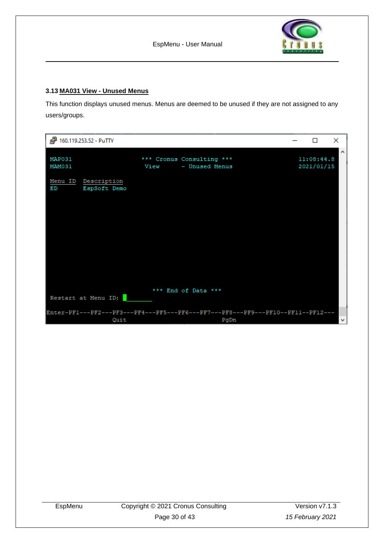

#### <span id="page-29-0"></span>**3.13 MA031 View - Unused Menus**

This function displays unused menus. Menus are deemed to be unused if they are not assigned to any users/groups.

| 图 160.119.253.52 - PuTTY  |                                                                                 |      |                                             |      | П                        | ×                   |
|---------------------------|---------------------------------------------------------------------------------|------|---------------------------------------------|------|--------------------------|---------------------|
| MAP031<br>MAM031          |                                                                                 | View | *** Cronus Consulting ***<br>- Unused Menus |      | 11:08:44.8<br>2021/01/15 | $\hat{\phantom{a}}$ |
| Menu ID Description<br>ЕD | EspSoft Demo                                                                    |      |                                             |      |                          |                     |
|                           |                                                                                 |      |                                             |      |                          |                     |
|                           |                                                                                 |      |                                             |      |                          |                     |
|                           |                                                                                 |      |                                             |      |                          |                     |
| Restart at Menu ID:       |                                                                                 |      | *** End of Data ***                         |      |                          |                     |
|                           | Enter-PF1---PF2---PF3---PF4---PF5---PF6---PF7---PF8---PF9---PF10--PF11--PF12--- |      |                                             |      |                          |                     |
|                           | Quit                                                                            |      |                                             | PgDn |                          | v                   |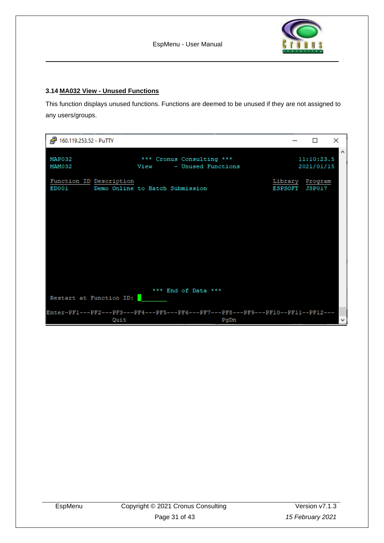

#### <span id="page-30-0"></span>**3.14 MA032 View - Unused Functions**

This function displays unused functions. Functions are deemed to be unused if they are not assigned to any users/groups.

| 图 160.119.253.52 - PuTTY         |                                                                                         |         | П                         | $\times$            |
|----------------------------------|-----------------------------------------------------------------------------------------|---------|---------------------------|---------------------|
| MAP032<br>MAM032                 | *** Cronus Consulting ***<br>- Unused Functions<br>View                                 |         | 11:10:23.5<br>2021/01/15  | $\hat{\phantom{1}}$ |
| Function ID Description<br>ED001 | Demo Online to Batch Submission                                                         | ESPSOFT | Library Program<br>JSP017 |                     |
|                                  |                                                                                         |         |                           |                     |
|                                  |                                                                                         |         |                           |                     |
|                                  |                                                                                         |         |                           |                     |
| Restart at Function ID:          | *** End of Data ***                                                                     |         |                           |                     |
|                                  |                                                                                         |         |                           |                     |
| Quit                             | Enter-PF1---PF2---PF3---PF4---PF5---PF6---PF7---PF8---PF9---PF10--PF11--PF12---<br>PgDn |         |                           | v                   |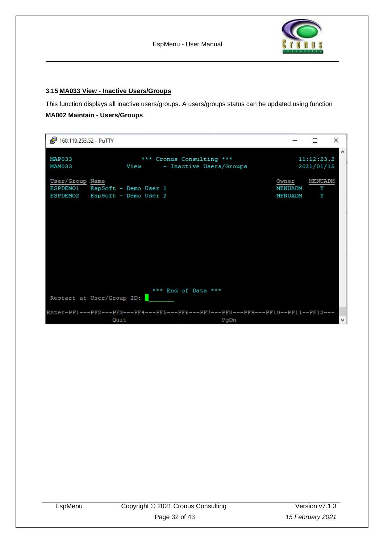

#### <span id="page-31-0"></span>**3.15 MA033 View - Inactive Users/Groups**

This function displays all inactive users/groups. A users/groups status can be updated using function **MA002 Maintain - Users/Groups**.

| 图 160.119.253.52 - PuTTY                                                            |                                                                                         |                             | $\times$<br>П                                   |
|-------------------------------------------------------------------------------------|-----------------------------------------------------------------------------------------|-----------------------------|-------------------------------------------------|
| MAP033<br>MAM033                                                                    | *** Cronus Consulting ***<br>View<br>- Inactive Users/Groups                            |                             | $\hat{\phantom{1}}$<br>11:12:23.2<br>2021/01/15 |
| User/Group Name<br>ESPDEMO1 EspSoft - Demo User 1<br>ESPDEMO2 EspSoft - Demo User 2 |                                                                                         | Owner<br>MENUADM<br>MENUADM | MENUADM<br>Y<br>Y                               |
| Restart at User/Group ID:                                                           | *** End of Data ***                                                                     |                             |                                                 |
| Quit                                                                                | Enter-PF1---PF2---PF3---PF4---PF5---PF6---PF7---PF8---PF9---PF10--PF11--PF12---<br>PgDn |                             | $\mathbf{v}$                                    |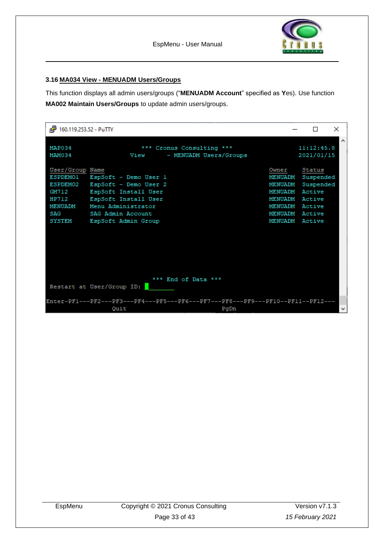

#### <span id="page-32-0"></span>**3.16 MA034 View - MENUADM Users/Groups**

This function displays all admin users/groups ("**MENUADM Account**" specified as **Y**es). Use function **MA002 Maintain Users/Groups** to update admin users/groups.

| $\frac{1}{\log n}$<br>160.119.253.52 - PuTTY                                                        |                                                                                                                                                                  |                                                                                                                | $\times$                                   |
|-----------------------------------------------------------------------------------------------------|------------------------------------------------------------------------------------------------------------------------------------------------------------------|----------------------------------------------------------------------------------------------------------------|--------------------------------------------|
| MAP034<br>MAM034                                                                                    | *** Cronus Consulting ***<br>- MENUADM Users/Groups<br>View                                                                                                      |                                                                                                                | ∧<br>11:12:45.8<br>2021/01/15              |
| User/Group Name<br><b>ESPDEMO1</b><br>ESPDEM02<br>GM712<br>HP712<br>MENUADM<br>SAG<br><b>SYSTEM</b> | EspSoft - Demo User 1<br>EspSoft - Demo User 2<br>EspSoft Install User<br>EspSoft Install User<br>Menu Administrator<br>SAG Admin Account<br>EspSoft Admin Group | Owner<br>MENUADM<br>MENUADM<br>MENUADM Active<br>MENUADM Active<br>MENUADM Active<br>MENUADM<br>MENUADM Active | Status<br>Suspended<br>Suspended<br>Active |
|                                                                                                     | *** End of Data ***<br>Restart at User/Group ID:                                                                                                                 |                                                                                                                |                                            |
|                                                                                                     | Enter-PF1---PF2---PF3---PF4---PF5---PF6---PF7---PF8---PF9---PF10--PF11--PF12---<br>Quit<br>PgDn                                                                  |                                                                                                                | M                                          |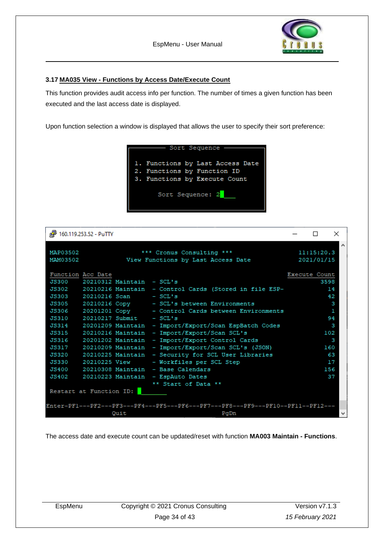

#### <span id="page-33-0"></span>**3.17 MA035 View - Functions by Access Date/Execute Count**

This function provides audit access info per function. The number of times a given function has been executed and the last access date is displayed.

Upon function selection a window is displayed that allows the user to specify their sort preference:



|                   | 图 160.119.253.52 - PuTTY |                                 |                                                                                 |                      | ×    |
|-------------------|--------------------------|---------------------------------|---------------------------------------------------------------------------------|----------------------|------|
|                   |                          |                                 |                                                                                 |                      | Α    |
| MAP03502          |                          |                                 | *** Cronus Consulting ***                                                       | 11:15:20.3           |      |
| MAM03502          |                          |                                 | View Functions by Last Access Date                                              | 2021/01/15           |      |
| Function Acc Date |                          |                                 |                                                                                 | <b>Execute Count</b> |      |
|                   |                          | JS300 20210312 Maintain - SCL's |                                                                                 |                      | 3598 |
|                   |                          |                                 |                                                                                 |                      |      |
|                   |                          |                                 | JS302 20210216 Maintain - Control Cards (Stored in file ESP-                    |                      | 14   |
|                   |                          | JS303 20210216 Scan - SCL's     |                                                                                 |                      | 42   |
|                   |                          |                                 | JS305 20210216 Copy - SCL's between Environments                                |                      | з    |
|                   |                          |                                 | JS306 20201201 Copy - Control Cards between Environments                        |                      | n.   |
|                   |                          | JS310 20210217 Submit - SCL's   |                                                                                 |                      | 94   |
|                   |                          |                                 | JS314 20201209 Maintain - Import/Export/Scan EspBatch Codes                     |                      | з    |
| JS315             |                          |                                 | 20210216 Maintain - Import/Export/Scan SCL's                                    |                      | 102  |
| JS316             |                          |                                 | 20201202 Maintain - Import/Export Control Cards                                 |                      | з    |
|                   |                          |                                 | JS317 20210209 Maintain - Import/Export/Scan SCL's (JSON)                       |                      | 160  |
| JS320             |                          |                                 | 20210225 Maintain - Security for SCL User Libraries                             |                      | 63   |
|                   |                          |                                 | JS330 20210225 View - Workfiles per SCL Step                                    |                      | 17   |
|                   |                          |                                 | JS400 20210308 Maintain - Base Calendars                                        |                      | 156  |
|                   |                          |                                 | JS402 20210223 Maintain - EspAuto Dates                                         |                      | 37   |
|                   |                          |                                 | ** Start of Data **                                                             |                      |      |
|                   | Restart at Function ID:  |                                 |                                                                                 |                      |      |
|                   |                          |                                 |                                                                                 |                      |      |
|                   |                          |                                 | Enter-PF1---PF2---PF3---PF4---PF5---PF6---PF7---PF8---PF9---PF10--PF11--PF12--- |                      |      |
|                   |                          | Quit                            | PqDn                                                                            |                      | v    |

The access date and execute count can be updated/reset with function **MA003 Maintain - Functions**.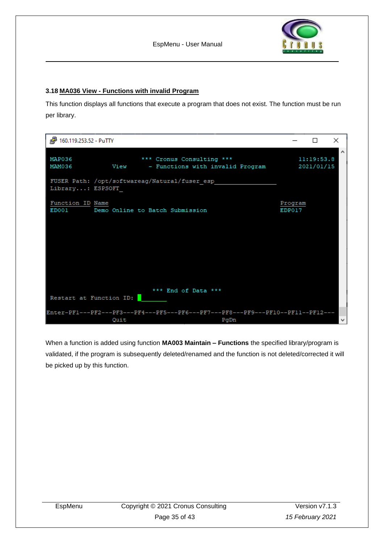

#### <span id="page-34-0"></span>**3.18 MA036 View - Functions with invalid Program**

This function displays all functions that execute a program that does not exist. The function must be run per library.

| 图 160.119.253.52 - PuTTY  |                                                                                         |                   | П          | ×            |
|---------------------------|-----------------------------------------------------------------------------------------|-------------------|------------|--------------|
| MAP036<br>MAM036          | *** Cronus Consulting ***<br>View - Functions with invalid Program 2021/01/15           |                   | 11:19:53.8 | $\land$      |
| Library: ESPSOFT          | FUSER Path: /opt/softwareag/Natural/fuser esp                                           |                   |            |              |
| Function ID Name<br>ED001 | Demo Online to Batch Submission                                                         | Program<br>EDP017 |            |              |
|                           |                                                                                         |                   |            |              |
|                           |                                                                                         |                   |            |              |
|                           |                                                                                         |                   |            |              |
| Restart at Function ID:   | *** End of Data ***                                                                     |                   |            |              |
| Quit                      | Enter-PF1---PF2---PF3---PF4---PF5---PF6---PF7---PF8---PF9---PF10--PF11--PF12---<br>PgDn |                   |            | $\checkmark$ |

When a function is added using function **MA003 Maintain – Functions** the specified library/program is validated, if the program is subsequently deleted/renamed and the function is not deleted/corrected it will be picked up by this function.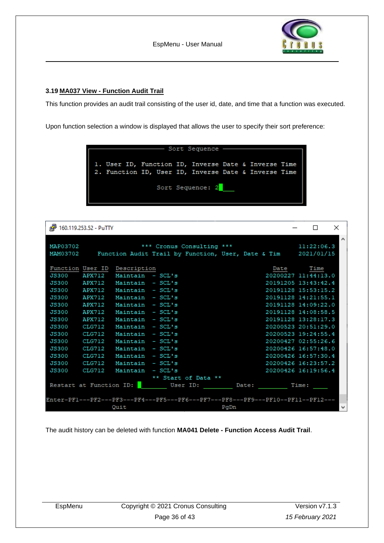

#### <span id="page-35-0"></span>**3.19 MA037 View - Function Audit Trail**

This function provides an audit trail consisting of the user id, date, and time that a function was executed.

Upon function selection a window is displayed that allows the user to specify their sort preference:



| is.          | 160.119.253.52 - PuTTY  |                                                                                 |          |                           |      |       |                     |       | П          | ×            |
|--------------|-------------------------|---------------------------------------------------------------------------------|----------|---------------------------|------|-------|---------------------|-------|------------|--------------|
|              |                         |                                                                                 |          |                           |      |       |                     |       |            | $\wedge$     |
| MAP03702     |                         |                                                                                 |          | *** Cronus Consulting *** |      |       |                     |       | 11:22:06.3 |              |
| MAM03702     |                         | Function Audit Trail by Function, User, Date & Tim 2021/01/15                   |          |                           |      |       |                     |       |            |              |
|              |                         |                                                                                 |          |                           |      |       |                     |       |            |              |
|              |                         | Function User ID Description                                                    |          |                           |      |       | Date                |       | Time       |              |
| <b>JS300</b> | APX712                  | Maintain - SCL's                                                                |          |                           |      |       | 20200227 11:44:13.0 |       |            |              |
| <b>JS300</b> | APX712                  | Maintain - SCL's                                                                |          |                           |      |       | 20191205 13:43:42.4 |       |            |              |
| <b>JS300</b> | APX712                  | Maintain - SCL's                                                                |          |                           |      |       | 20191128 15:53:15.2 |       |            |              |
| <b>JS300</b> | APX712                  | Maintain - SCL's                                                                |          |                           |      |       | 20191128 14:21:55.1 |       |            |              |
| <b>JS300</b> | APX712                  | Maintain - SCL's                                                                |          |                           |      |       | 20191128 14:09:22.0 |       |            |              |
| <b>JS300</b> | APX712                  | Maintain - SCL's                                                                |          |                           |      |       | 20191128 14:08:58.5 |       |            |              |
| <b>JS300</b> | APX712                  | Maintain - SCL's                                                                |          |                           |      |       | 20191128 13:28:17.3 |       |            |              |
| <b>JS300</b> | CLG712                  | Maintain - SCL's                                                                |          |                           |      |       | 20200523 20:51:29.0 |       |            |              |
| <b>JS300</b> | CLG712                  | Maintain - SCL's                                                                |          |                           |      |       | 20200523 19:24:55.4 |       |            |              |
| <b>JS300</b> | CLG712                  | Maintain - SCL's                                                                |          |                           |      |       | 20200427 02:55:26.6 |       |            |              |
| <b>JS300</b> | CLG712                  | Maintain - SCL's                                                                |          |                           |      |       | 20200426 16:57:48.0 |       |            |              |
| <b>JS300</b> | CLG712                  | Maintain - SCL's                                                                |          |                           |      |       | 20200426 16:57:30.4 |       |            |              |
| <b>JS300</b> | CLG712                  | Maintain - SCL's                                                                |          |                           |      |       | 20200426 16:23:57.2 |       |            |              |
| <b>JS300</b> | CLG712                  | Maintain - SCL's                                                                |          |                           |      |       | 20200426 16:19:56.4 |       |            |              |
|              |                         |                                                                                 |          | ** Start of Data **       |      |       |                     |       |            |              |
|              | Restart at Function ID: |                                                                                 | User ID: |                           |      | Date: |                     | Time: |            |              |
|              |                         |                                                                                 |          |                           |      |       |                     |       |            |              |
|              |                         | Enter-PF1---PF2---PF3---PF4---PF5---PF6---PF7---PF8---PF9---PF10--PF11--PF12--- |          |                           |      |       |                     |       |            |              |
|              |                         | Quit                                                                            |          |                           | PgDn |       |                     |       |            | $\checkmark$ |

The audit history can be deleted with function **MA041 Delete - Function Access Audit Trail**.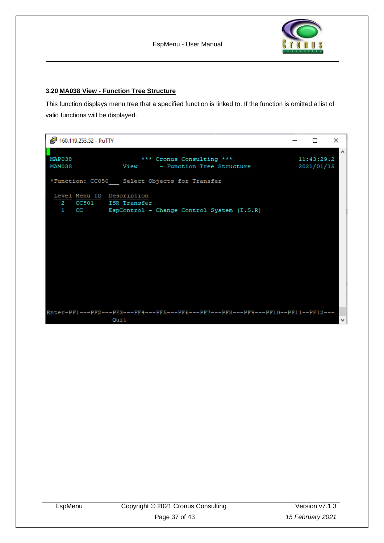

#### <span id="page-36-0"></span>**3.20 MA038 View - Function Tree Structure**

This function displays menu tree that a specified function is linked to. If the function is omitted a list of valid functions will be displayed.

| 图 160.119.253.52 - PuTTY                |                                                                                         | П                        | $\times$            |
|-----------------------------------------|-----------------------------------------------------------------------------------------|--------------------------|---------------------|
| MAP038<br>MAM038                        | *** Cronus Consulting ***<br>View - Function Tree Structure                             | 11:43:29.2<br>2021/01/15 | $\hat{\phantom{a}}$ |
|                                         | *Function: CC050 Select Objects for Transfer                                            |                          |                     |
| Level Menu ID Description<br>$2 -$<br>ı | CC501 ISR Transfer<br>CC EspControl - Change Control System (I.S.R)                     |                          |                     |
|                                         | Enter-PF1---PF2---PF3---PF4---PF5---PF6---PF7---PF8---PF9---PF10--PF11--PF12---<br>Quit |                          |                     |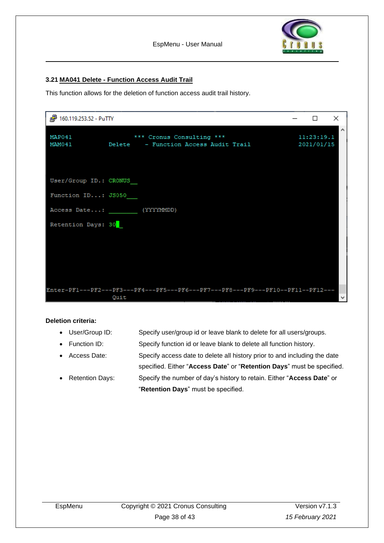

#### <span id="page-37-0"></span>**3.21 MA041 Delete - Function Access Audit Trail**

This function allows for the deletion of function access audit trail history.

| 图 160.119.253.52 - PuTTY                     |                                                                                         | □                        | ×      |
|----------------------------------------------|-----------------------------------------------------------------------------------------|--------------------------|--------|
| MAP041<br>MAM041                             | *** Cronus Consulting ***<br>Delete - Function Access Audit Trail                       | 11:23:19.1<br>2021/01/15 | $\sim$ |
| User/Group ID.: CRONUS<br>Function ID: JS050 |                                                                                         |                          |        |
| Retention Days: 30                           | Access Date: (YYYYMMDD)                                                                 |                          |        |
|                                              |                                                                                         |                          |        |
|                                              |                                                                                         |                          |        |
|                                              | Enter-PF1---PF2---PF3---PF4---PF5---PF6---PF7---PF8---PF9---PF10--PF11--PF12---<br>Quit |                          | v      |

#### **Deletion criteria:**

- User/Group ID: Specify user/group id or leave blank to delete for all users/groups.
- Function ID: Specify function id or leave blank to delete all function history.
- Access Date: Specify access date to delete all history prior to and including the date
- specified. Either "**Access Date**" or "**Retention Days**" must be specified. • Retention Days: Specify the number of day's history to retain. Either "**Access Date**" or "**Retention Days**" must be specified.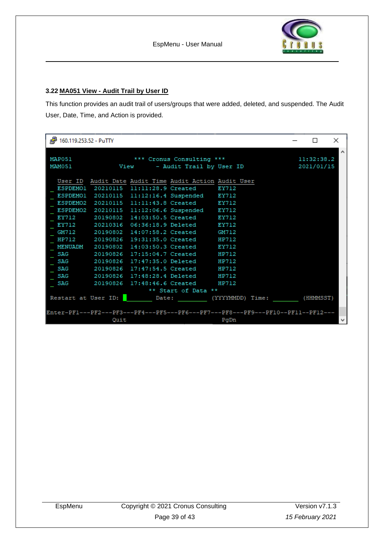

#### <span id="page-38-0"></span>**3.22 MA051 View - Audit Trail by User ID**

This function provides an audit trail of users/groups that were added, deleted, and suspended. The Audit User, Date, Time, and Action is provided.

| 160.119.253.52 - PuTTY                                                      |                                                                                                                                                                                                                                                                                                                                                                                                                                                                                                                                                                                                                                                                          | П                        | $\times$     |
|-----------------------------------------------------------------------------|--------------------------------------------------------------------------------------------------------------------------------------------------------------------------------------------------------------------------------------------------------------------------------------------------------------------------------------------------------------------------------------------------------------------------------------------------------------------------------------------------------------------------------------------------------------------------------------------------------------------------------------------------------------------------|--------------------------|--------------|
| MAP051<br>MAM051                                                            | *** Cronus Consulting ***<br>View - Audit Trail by User ID                                                                                                                                                                                                                                                                                                                                                                                                                                                                                                                                                                                                               | 11:32:38.2<br>2021/01/15 | ́            |
| EY712<br>n an a<br>EY712<br>GM712<br>SAG<br><b>SAG</b><br>SAG<br>SAG<br>SAG | User ID Audit Date Audit Time Audit Action Audit User<br>ESPDEMO1 20210115 11:11:28.9 Created EY712<br>ESPDEMO1 20210115 11:12:16.4 Suspended EY712<br>ESPDEMO2 20210115 11:11:43.8 Created EY712<br>ESPDEMO2 20210115 11:12:06.6 Suspended EY712<br>20190802 14:03:50.5 Created EY712<br>20210316 06:36:18.9 Deleted EY712<br>20190802 14:07:58.2 Created GM712<br>HP712 20190826 19:31:35.0 Created HP712<br>MENUADM 20190802 14:03:50.3 Created EY712<br>20190826 17:15:04.7 Created HP712<br>20190826 17:47:35.0 Deleted HP712<br>20190826 17:47:54.5 Created HP712<br>20190826 17:48:28.4 Deleted HP712<br>20190826 17:48:46.6 Created HP712<br>** Start of Data ** |                          |              |
| Quit                                                                        | Restart at User ID: Date: (YYYYMMDD) Time:<br>Enter-PF1---PF2---PF3---PF4---PF5---PF6---PF7---PF8---PF9---PF10--PF11--PF12---<br>PgDn                                                                                                                                                                                                                                                                                                                                                                                                                                                                                                                                    | (HHMMSST)                | $\checkmark$ |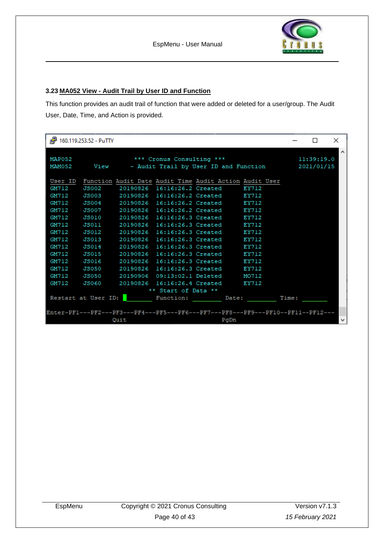

#### <span id="page-39-0"></span>**3.23 MA052 View - Audit Trail by User ID and Function**

This function provides an audit trail of function that were added or deleted for a user/group. The Audit User, Date, Time, and Action is provided.

|                  | d <sup>29</sup> 160.119.253.52 - PuTTY |                           |                     |                                                                                 |            | $\Box$ | $\times$ |
|------------------|----------------------------------------|---------------------------|---------------------|---------------------------------------------------------------------------------|------------|--------|----------|
| MAP052<br>MAM052 |                                        | *** Cronus Consulting *** |                     | View - Audit Trail by User ID and Function 2021/01/15                           | 11:39:19.0 |        | $\wedge$ |
|                  |                                        |                           |                     | User ID Function Audit Date Audit Time Audit Action Audit User                  |            |        |          |
| GM712            | <b>JS002</b>                           |                           |                     | 20190826 16:16:26.2 Created EY712                                               |            |        |          |
| GM712            |                                        |                           |                     | JS003 20190826 16:16:26.2 Created EY712                                         |            |        |          |
| GM712            |                                        |                           |                     | JS004 20190826 16:16:26.2 Created EY712                                         |            |        |          |
| GM712            | JS007                                  |                           |                     | 20190826 16:16:26.2 Created EY712                                               |            |        |          |
| GM712            |                                        |                           |                     | JS010 20190826 16:16:26.3 Created EY712                                         |            |        |          |
| GM712            | JS011 <b>JS0</b>                       |                           |                     | 20190826 16:16:26.3 Created EY712                                               |            |        |          |
| GM712            | JS012                                  |                           |                     | 20190826 16:16:26.3 Created EY712                                               |            |        |          |
| GM712            |                                        |                           |                     | JS013 20190826 16:16:26.3 Created EY712                                         |            |        |          |
| GM712            | JS014                                  |                           |                     | 20190826 16:16:26.3 Created EY712                                               |            |        |          |
| GM712            | JS015                                  |                           |                     | 20190826 16:16:26.3 Created EY712                                               |            |        |          |
| GM712            | JS016                                  |                           |                     | 20190826 16:16:26.3 Created EY712                                               |            |        |          |
| GM712            | JS050                                  |                           |                     | 20190826 16:16:26.3 Created EY712                                               |            |        |          |
| GM712            |                                        |                           |                     | JS050 20190906 09:13:02.1 Deleted MO712                                         |            |        |          |
| GM712            | JS060                                  |                           |                     | 20190826 16:16:26.4 Created EY712                                               |            |        |          |
|                  |                                        |                           | ** Start of Data ** |                                                                                 |            |        |          |
|                  |                                        |                           |                     | Restart at User ID: Function: Date:                                             | Time:      |        |          |
|                  |                                        |                           |                     |                                                                                 |            |        |          |
|                  |                                        |                           |                     | Enter-PF1---PF2---PF3---PF4---PF5---PF6---PF7---PF8---PF9---PF10--PF11--PF12--- |            |        |          |
|                  |                                        | Quit                      |                     | PgDn                                                                            |            |        | v        |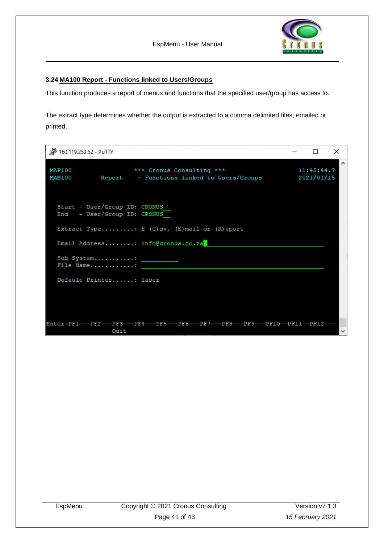$\Box$ 

×

#### <span id="page-40-0"></span>**3.24 MA100 Report - Functions linked to Users/Groups**

This function produces a report of menus and functions that the specified user/group has access to.

The extract type determines whether the output is extracted to a comma delimited files, emailed or printed.

| MAP100<br>MAM100 |                                                              | *** Cronus Consulting ***<br>11:45:44.7<br>Report - Functions linked to Users/Groups<br>2021/01/15 |   |
|------------------|--------------------------------------------------------------|----------------------------------------------------------------------------------------------------|---|
|                  | Start - User/Group ID: CRONUS<br>End - User/Group ID: CRONUS |                                                                                                    |   |
|                  |                                                              | Extract Type: E (C)sv, (E)mail or (R) eport                                                        |   |
|                  |                                                              | Email Address: info@cronus.co.za                                                                   |   |
|                  | Sub System:<br>File Name:                                    |                                                                                                    |   |
|                  | Default Printer: laser                                       |                                                                                                    |   |
|                  |                                                              |                                                                                                    |   |
|                  | Quit                                                         | Enter-PF1---PF2---PF3---PF4---PF5---PF6---PF7---PF8---PF9---PF10--PF11--PF12---                    | v |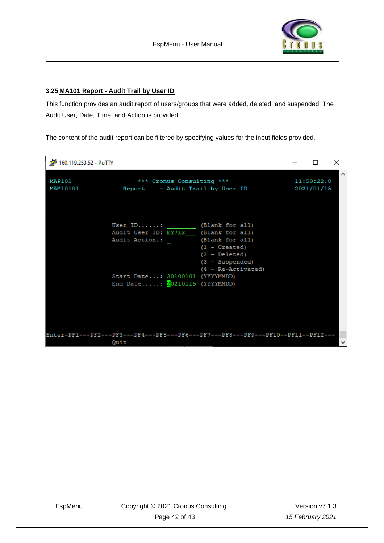

#### <span id="page-41-0"></span>**3.25 MA101 Report - Audit Trail by User ID**

This function provides an audit report of users/groups that were added, deleted, and suspended. The Audit User, Date, Time, and Action is provided.

The content of the audit report can be filtered by specifying values for the input fields provided.

| d <sup>29</sup> 160.119.253.52 - PuTTY |                                                                                                                                                            |                                                                                                         | п | $\times$     |
|----------------------------------------|------------------------------------------------------------------------------------------------------------------------------------------------------------|---------------------------------------------------------------------------------------------------------|---|--------------|
| MAP101<br>MAM10101                     | *** Cronus Consulting ***<br>Report - Audit Trail by User ID                                                                                               | 11:50:22.8<br>2021/01/15                                                                                | Α |              |
|                                        | User ID: $(Blank for all)$<br>Audit User ID: EY712 (Blank for all)<br>Audit Action.:<br>Start Date: 20100101 (YYYYMMDD)<br>End Date: $20210115$ (YYYYMMDD) | (Blank for all)<br>$(1 -$ Created)<br>$(2 - \text{Deleted})$<br>$(3 - Subgended)$<br>(4 - Re-Activated) |   |              |
|                                        | Enter-PF1---PF2---PF3---PF4---PF5---PF6---PF7---PF8---PF9---PF10--PF11--PF12---<br>Quit                                                                    |                                                                                                         |   | $\mathbf{v}$ |